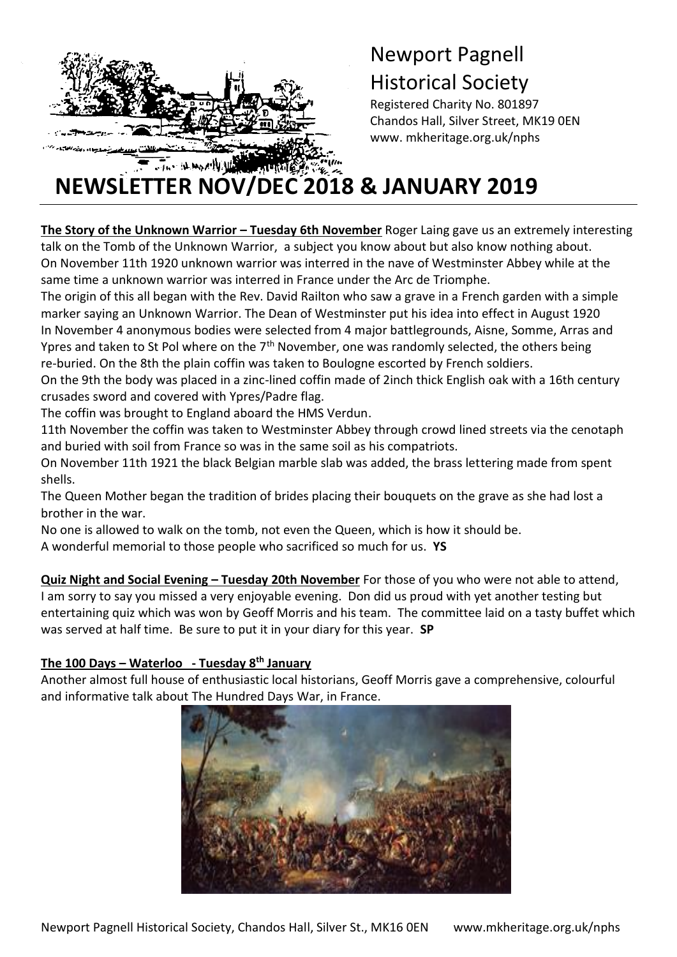

t

# Newport Pagnell Historical Society

Registered Charity No. 801897 Chandos Hall, Silver Street, MK19 0EN www. mkheritage.org.uk/nphs

# **NEWSLETTER NOV/DEC 2018 & JANUARY 2019**

**The Story of the Unknown Warrior – Tuesday 6th November** Roger Laing gave us an extremely interesting talk on the Tomb of the Unknown Warrior, a subject you know about but also know nothing about. On November 11th 1920 unknown warrior was interred in the nave of Westminster Abbey while at the same time a unknown warrior was interred in France under the Arc de Triomphe.

The origin of this all began with the Rev. David Railton who saw a grave in a French garden with a simple marker saying an Unknown Warrior. The Dean of Westminster put his idea into effect in August 1920 In November 4 anonymous bodies were selected from 4 major battlegrounds, Aisne, Somme, Arras and Ypres and taken to St Pol where on the  $7<sup>th</sup>$  November, one was randomly selected, the others being re-buried. On the 8th the plain coffin was taken to Boulogne escorted by French soldiers.

On the 9th the body was placed in a zinc-lined coffin made of 2inch thick English oak with a 16th century crusades sword and covered with Ypres/Padre flag.

The coffin was brought to England aboard the HMS Verdun.

11th November the coffin was taken to Westminster Abbey through crowd lined streets via the cenotaph and buried with soil from France so was in the same soil as his compatriots.

On November 11th 1921 the black Belgian marble slab was added, the brass lettering made from spent shells.

The Queen Mother began the tradition of brides placing their bouquets on the grave as she had lost a brother in the war.

No one is allowed to walk on the tomb, not even the Queen, which is how it should be.

A wonderful memorial to those people who sacrificed so much for us. **YS**

**Quiz Night and Social Evening – Tuesday 20th November** For those of you who were not able to attend, I am sorry to say you missed a very enjoyable evening. Don did us proud with yet another testing but entertaining quiz which was won by Geoff Morris and his team. The committee laid on a tasty buffet which was served at half time. Be sure to put it in your diary for this year. **SP**

### **The 100 Days – Waterloo - Tuesday 8th January**

Another almost full house of enthusiastic local historians, Geoff Morris gave a comprehensive, colourful and informative talk about The Hundred Days War, in France.

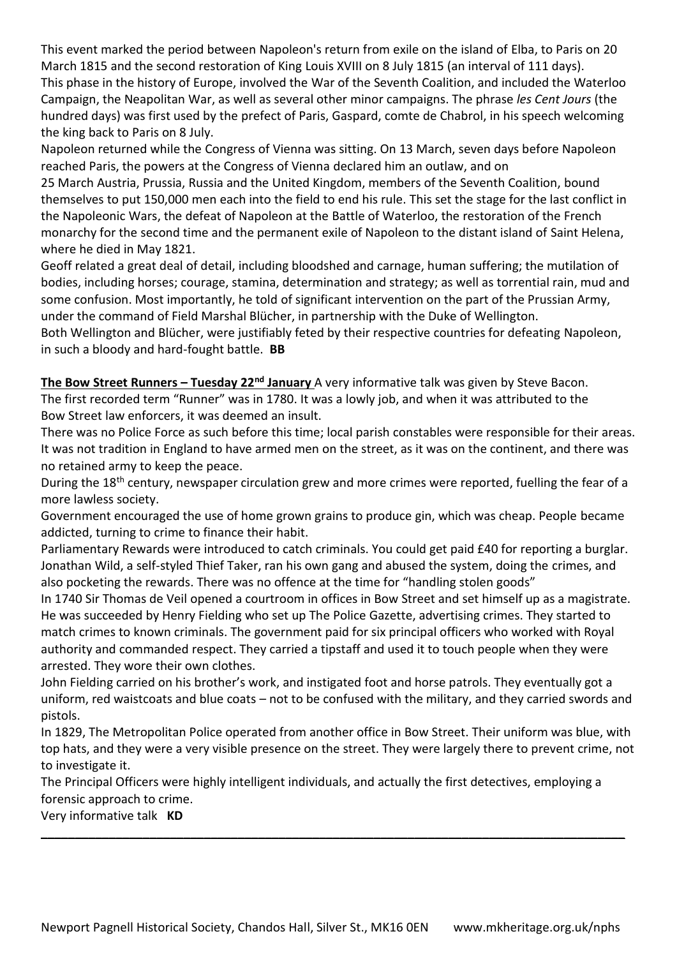This event marked the period between [Napoleon'](https://en.wikipedia.org/wiki/Napoleon)s return from exile on the island of [Elba,](https://en.wikipedia.org/wiki/Elba) to [Paris](https://en.wikipedia.org/wiki/Paris) on 20 March 1815 and the second restoration of King [Louis XVIII](https://en.wikipedia.org/wiki/Louis_XVIII_of_France) on 8 July 1815 (an interval of 111 days). This phase in the history of Europe, involved the War of the Seventh Coalition, and included the [Waterloo](https://en.wikipedia.org/wiki/Waterloo_Campaign)  [Campaign,](https://en.wikipedia.org/wiki/Waterloo_Campaign) the [Neapolitan War,](https://en.wikipedia.org/wiki/Neapolitan_War) as well as several other [minor campaigns.](https://en.wikipedia.org/wiki/Minor_campaigns_of_1815) The phrase *les Cent Jours* (the hundred days) was first used by the [prefect](https://en.wikipedia.org/wiki/Prefect_(France)) of Paris, [Gaspard, comte de Chabrol,](https://en.wikipedia.org/wiki/Gaspard_de_Chabrol) in his speech welcoming the king back to Paris on 8 July.

Napoleon returned while the [Congress of Vienna](https://en.wikipedia.org/wiki/Congress_of_Vienna) was sitting. On 13 March, seven days before Napoleon reached Paris, the powers at the Congress of Vienna [declared him an outlaw,](https://en.wikisource.org/wiki/Declaration_at_the_Congress_of_Vienna) and on

25 March [Austria,](https://en.wikipedia.org/wiki/Austrian_Empire) [Prussia,](https://en.wikipedia.org/wiki/Kingdom_of_Prussia) [Russia](https://en.wikipedia.org/wiki/Russian_Empire) and the [United Kingdom,](https://en.wikipedia.org/wiki/United_Kingdom_of_Great_Britain_and_Ireland) members of the Seventh Coalition, [bound](https://en.wikisource.org/wiki/Treaty_of_Vienna_(Seventh_Coalition)#ART.II)  [themselves](https://en.wikisource.org/wiki/Treaty_of_Vienna_(Seventh_Coalition)#ART.II) to put 150,000 men each into the field to end his rule. This set the stage for the last conflict in the [Napoleonic Wars,](https://en.wikipedia.org/wiki/Napoleonic_Wars) the defeat of Napoleon at the [Battle of Waterloo,](https://en.wikipedia.org/wiki/Battle_of_Waterloo) the restoration of the French monarchy for the second time and the permanent exile of Napoleon to the distant island of [Saint Helena,](https://en.wikipedia.org/wiki/Saint_Helena) where he died in May 1821.

Geoff related a great deal of detail, including bloodshed and carnage, human suffering; the mutilation of bodies, including horses; courage, stamina, determination and strategy; as well as torrential rain, mud and some confusion. Most importantly, he told of significant intervention on the part of the Prussian Army, under the command of Field Marshal Blücher, in partnership with the Duke of Wellington.

Both Wellington and Blücher, were justifiably feted by their respective countries for defeating Napoleon, in such a bloody and hard-fought battle. **BB**

**The Bow Street Runners – Tuesday 22nd January** A very informative talk was given by Steve Bacon. The first recorded term "Runner" was in 1780. It was a lowly job, and when it was attributed to the Bow Street law enforcers, it was deemed an insult.

There was no Police Force as such before this time; local parish constables were responsible for their areas. It was not tradition in England to have armed men on the street, as it was on the continent, and there was no retained army to keep the peace.

During the 18<sup>th</sup> century, newspaper circulation grew and more crimes were reported, fuelling the fear of a more lawless society.

Government encouraged the use of home grown grains to produce gin, which was cheap. People became addicted, turning to crime to finance their habit.

Parliamentary Rewards were introduced to catch criminals. You could get paid £40 for reporting a burglar. Jonathan Wild, a self-styled Thief Taker, ran his own gang and abused the system, doing the crimes, and also pocketing the rewards. There was no offence at the time for "handling stolen goods"

In 1740 Sir Thomas de Veil opened a courtroom in offices in Bow Street and set himself up as a magistrate. He was succeeded by Henry Fielding who set up The Police Gazette, advertising crimes. They started to match crimes to known criminals. The government paid for six principal officers who worked with Royal authority and commanded respect. They carried a tipstaff and used it to touch people when they were arrested. They wore their own clothes.

John Fielding carried on his brother's work, and instigated foot and horse patrols. They eventually got a uniform, red waistcoats and blue coats – not to be confused with the military, and they carried swords and pistols.

In 1829, The Metropolitan Police operated from another office in Bow Street. Their uniform was blue, with top hats, and they were a very visible presence on the street. They were largely there to prevent crime, not to investigate it.

The Principal Officers were highly intelligent individuals, and actually the first detectives, employing a forensic approach to crime.

**\_\_\_\_\_\_\_\_\_\_\_\_\_\_\_\_\_\_\_\_\_\_\_\_\_\_\_\_\_\_\_\_\_\_\_\_\_\_\_\_\_\_\_\_\_\_\_\_\_\_\_\_\_\_\_\_\_\_\_\_\_\_\_\_\_\_\_\_\_\_\_\_\_\_\_\_\_\_\_\_\_\_\_\_\_\_**

Very informative talk **KD**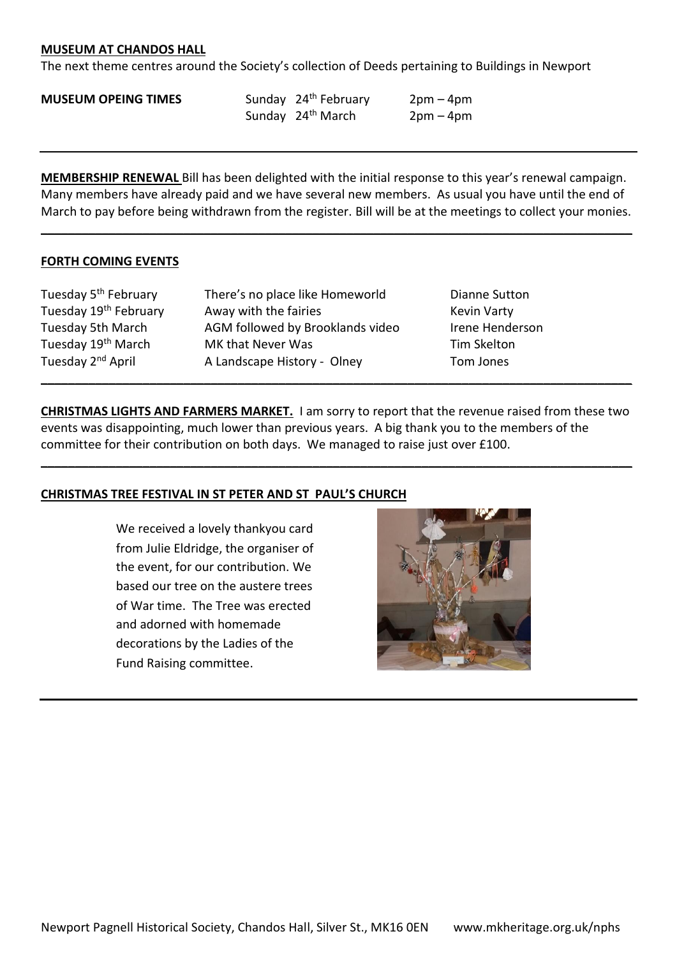#### **MUSEUM AT CHANDOS HALL**

The next theme centres around the Society's collection of Deeds pertaining to Buildings in Newport

#### **MUSEUM OPEING TIMES** Sunday 24<sup>th</sup> February 2pm – 4pm

Sunday  $24<sup>th</sup>$  March 2pm – 4pm

**MEMBERSHIP RENEWAL** Bill has been delighted with the initial response to this year's renewal campaign. Many members have already paid and we have several new members. As usual you have until the end of March to pay before being withdrawn from the register. Bill will be at the meetings to collect your monies.

**\_\_\_\_\_\_\_\_\_\_\_\_\_\_\_\_\_\_\_\_\_\_\_\_\_\_\_\_\_\_\_\_\_\_\_\_\_\_\_\_\_\_\_\_\_\_\_\_\_\_\_\_\_\_\_\_\_\_\_\_\_\_\_\_\_\_\_\_\_\_\_\_\_\_\_\_\_\_\_\_\_\_\_\_\_\_\_**

#### **FORTH COMING EVENTS**

Tuesday 5<sup>th</sup> February There's no place like Homeworld Dianne Sutton Tuesday 19<sup>th</sup> February Away with the fairies Tuesday 19<sup>th</sup> February Tuesday 5th March AGM followed by Brooklands video Irene Henderson Tuesday 19<sup>th</sup> March MK that Never Was Tim Skelton Tuesday 2<sup>nd</sup> April **A Landscape History - Olney** Tom Jones

**CHRISTMAS LIGHTS AND FARMERS MARKET.** I am sorry to report that the revenue raised from these two events was disappointing, much lower than previous years. A big thank you to the members of the committee for their contribution on both days. We managed to raise just over £100.

**\_\_\_\_\_\_\_\_\_\_\_\_\_\_\_\_\_\_\_\_\_\_\_\_\_\_\_\_\_\_\_\_\_\_\_\_\_\_\_\_\_\_\_\_\_\_\_\_\_\_\_\_\_\_\_\_\_\_\_\_\_\_\_\_\_\_\_\_\_\_\_\_\_\_\_\_\_\_\_\_\_\_\_\_\_\_\_**

**\_\_\_\_\_\_\_\_\_\_\_\_\_\_\_\_\_\_\_\_\_\_\_\_\_\_\_\_\_\_\_\_\_\_\_\_\_\_\_\_\_\_\_\_\_\_\_\_\_\_\_\_\_\_\_\_\_\_\_\_\_\_\_\_\_\_\_\_\_\_\_\_\_\_\_\_\_\_\_\_\_\_\_\_\_\_\_**

#### **CHRISTMAS TREE FESTIVAL IN ST PETER AND ST PAUL'S CHURCH**

We received a lovely thankyou card from Julie Eldridge, the organiser of the event, for our contribution. We based our tree on the austere trees of War time. The Tree was erected and adorned with homemade decorations by the Ladies of the Fund Raising committee.